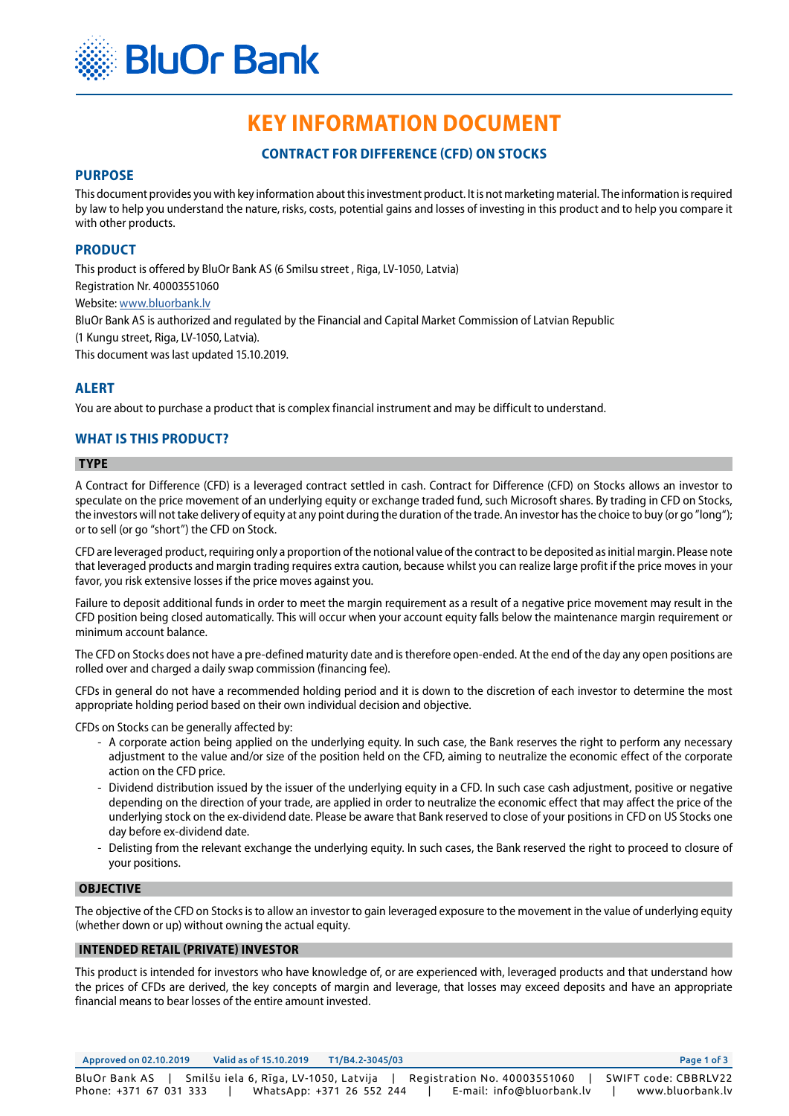

# **KEY INFORMATION DOCUMENT**

# **CONTRACT FOR DIFFERENCE (CFD) ON STOCKS**

### **PURPOSE**

This document provides you with key information about this investment product. It is not marketing material. The information is required by law to help you understand the nature, risks, costs, potential gains and losses of investing in this product and to help you compare it with other products.

## **PRODUCT**

This product is offered by BluOr Bank AS (6 Smilsu street , Riga, LV-1050, Latvia) Registration Nr. 40003551060 Website: [www.bluorbank.lv](https://www.bluorbank.lv/en/index) BluOr Bank AS is authorized and regulated by the Financial and Capital Market Commission of Latvian Republic (1 Kungu street, Riga, LV-1050, Latvia). This document was last updated 15.10.2019.

## **ALERT**

You are about to purchase a product that is complex financial instrument and may be difficult to understand.

# **WHAT IS THIS PRODUCT?**

#### **TYPE**

A Contract for Difference (CFD) is a leveraged contract settled in cash. Contract for Difference (CFD) on Stocks allows an investor to speculate on the price movement of an underlying equity or exchange traded fund, such Microsoft shares. By trading in CFD on Stocks, the investors will not take delivery of equity at any point during the duration of the trade. An investor has the choice to buy (or go "long"); or to sell (or go "short") the CFD on Stock.

CFD are leveraged product, requiring only a proportion of the notional value of the contract to be deposited as initial margin. Please note that leveraged products and margin trading requires extra caution, because whilst you can realize large profit if the price moves in your favor, you risk extensive losses if the price moves against you.

Failure to deposit additional funds in order to meet the margin requirement as a result of a negative price movement may result in the CFD position being closed automatically. This will occur when your account equity falls below the maintenance margin requirement or minimum account balance.

The CFD on Stocks does not have a pre-defined maturity date and is therefore open-ended. At the end of the day any open positions are rolled over and charged a daily swap commission (financing fee).

CFDs in general do not have a recommended holding period and it is down to the discretion of each investor to determine the most appropriate holding period based on their own individual decision and objective.

CFDs on Stocks can be generally affected by:

- A corporate action being applied on the underlying equity. In such case, the Bank reserves the right to perform any necessary adjustment to the value and/or size of the position held on the CFD, aiming to neutralize the economic effect of the corporate action on the CFD price.
- Dividend distribution issued by the issuer of the underlying equity in a CFD. In such case cash adjustment, positive or negative depending on the direction of your trade, are applied in order to neutralize the economic effect that may affect the price of the underlying stock on the ex-dividend date. Please be aware that Bank reserved to close of your positions in CFD on US Stocks one day before ex-dividend date.
- Delisting from the relevant exchange the underlying equity. In such cases, the Bank reserved the right to proceed to closure of your positions.

#### **OBJECTIVE**

The objective of the CFD on Stocks is to allow an investor to gain leveraged exposure to the movement in the value of underlying equity (whether down or up) without owning the actual equity.

## **INTENDED RETAIL (PRIVATE) INVESTOR**

This product is intended for investors who have knowledge of, or are experienced with, leveraged products and that understand how the prices of CFDs are derived, the key concepts of margin and leverage, that losses may exceed deposits and have an appropriate financial means to bear losses of the entire amount invested.

Approved on 02.10.2019 Valid as of 15.10.2019 T1/B4.2-3045/03 Page 1 of 3 BluOr Bank AS | Smilšu iela 6, Rīga, LV-1050, Latvija | Registration No. 40003551060 | SWIFT code: CBBRLV22 Phone: +371 67 031 333 | WhatsApp: +371 26 552 244 | E-mail: info@bluorbank.lv | www.bluorbank.lv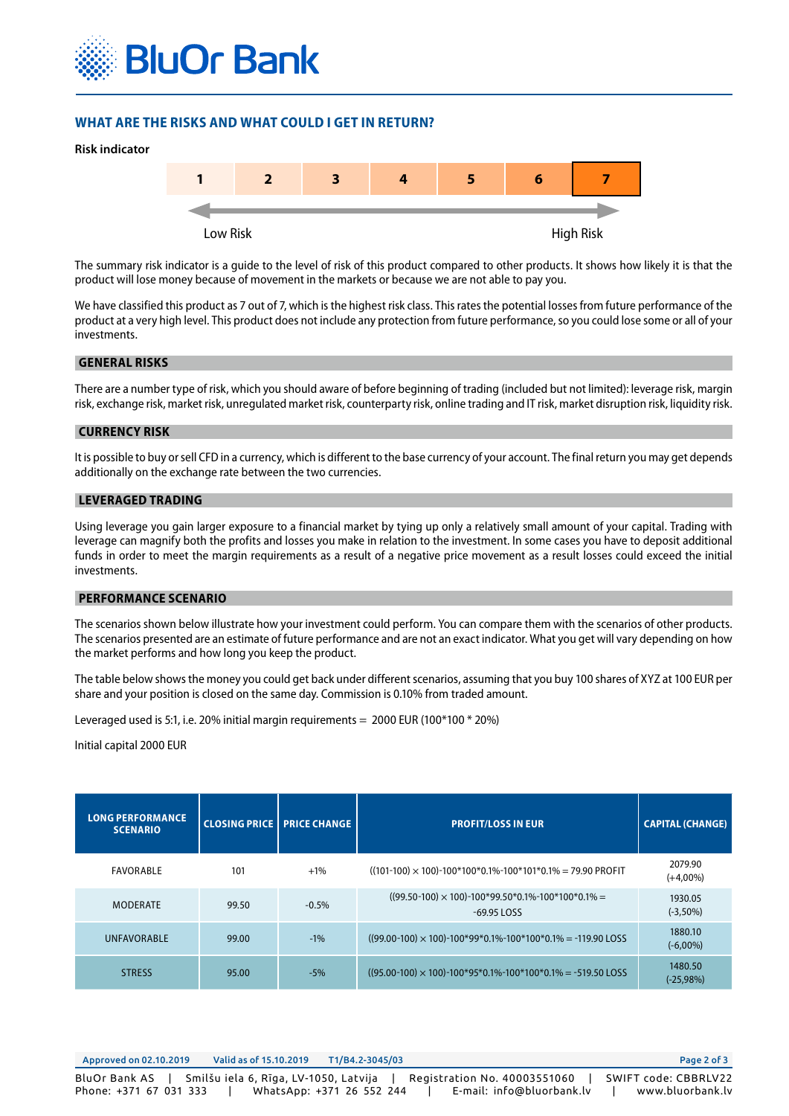

# **WHAT ARE THE RISKS AND WHAT COULD I GET IN RETURN?**



The summary risk indicator is a guide to the level of risk of this product compared to other products. It shows how likely it is that the product will lose money because of movement in the markets or because we are not able to pay you.

We have classified this product as 7 out of 7, which is the highest risk class. This rates the potential losses from future performance of the product at a very high level. This product does not include any protection from future performance, so you could lose some or all of your investments.

#### **GENERAL RISKS**

There are a number type of risk, which you should aware of before beginning of trading (included but not limited): leverage risk, margin risk, exchange risk, market risk, unregulated market risk, counterparty risk, online trading and IT risk, market disruption risk, liquidity risk.

#### **CURRENCY RISK**

It is possible to buy or sell CFD in a currency, which is different to the base currency of your account. The final return you may get depends additionally on the exchange rate between the two currencies.

## **LEVERAGED TRADING**

Using leverage you gain larger exposure to a financial market by tying up only a relatively small amount of your capital. Trading with leverage can magnify both the profits and losses you make in relation to the investment. In some cases you have to deposit additional funds in order to meet the margin requirements as a result of a negative price movement as a result losses could exceed the initial investments.

#### **PERFORMANCE SCENARIO**

The scenarios shown below illustrate how your investment could perform. You can compare them with the scenarios of other products. The scenarios presented are an estimate of future performance and are not an exact indicator. What you get will vary depending on how the market performs and how long you keep the product.

The table below shows the money you could get back under different scenarios, assuming that you buy 100 shares of XYZ at 100 EUR per share and your position is closed on the same day. Commission is 0.10% from traded amount.

Leveraged used is 5:1, i.e. 20% initial margin requirements =  $2000$  EUR (100\*100 \* 20%)

#### Initial capital 2000 EUR

| <b>LONG PERFORMANCE</b><br><b>SCENARIO</b> |       | <b>CLOSING PRICE PRICE CHANGE</b> | <b>PROFIT/LOSS IN EUR</b>                                                  | <b>CAPITAL (CHANGE)</b> |
|--------------------------------------------|-------|-----------------------------------|----------------------------------------------------------------------------|-------------------------|
| FAVORABLE                                  | 101   | $+1\%$                            | $((101-100) \times 100)$ -100*100*0.1%-100*101*0.1% = 79.90 PROFIT         | 2079.90<br>$(+4,00\%)$  |
| <b>MODERATE</b>                            | 99.50 | $-0.5%$                           | $((99.50-100) \times 100)$ -100*99.50*0.1%-100*100*0.1% =<br>$-69.95$ LOSS | 1930.05<br>$(-3,50\%)$  |
| <b>UNFAVORABLE</b>                         | 99.00 | $-1%$                             | $((99.00-100) \times 100)$ -100*99*0.1%-100*100*0.1% = -119.90 LOSS        | 1880.10<br>$(-6,00\%)$  |
| <b>STRESS</b>                              | 95.00 | $-5%$                             | $(95.00-100) \times 100$ -100*95*0.1%-100*100*0.1% = -519.50 LOSS          | 1480.50<br>$(-25,98%)$  |

Approved on 02.10.2019 Valid as of 15.10.2019 T1/B4.2-3045/03 Page 2 of 3 BluOr Bank AS | Smilšu iela 6, Rīga, LV-1050, Latvija | Registration No. 40003551060 | SWIFT code: CBBRLV22 Phone: +371 67 031 333 | WhatsApp: +371 26 552 244 | E-mail: info@bluorbank.lv | www.bluorbank.lv